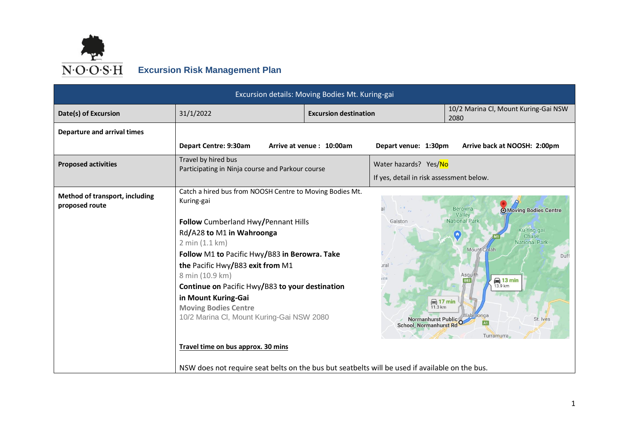

|                                                  | Excursion details: Moving Bodies Mt. Kuring-gai                                                                                                              |                              |                                                                               |                                                                                                                                                              |  |  |  |  |
|--------------------------------------------------|--------------------------------------------------------------------------------------------------------------------------------------------------------------|------------------------------|-------------------------------------------------------------------------------|--------------------------------------------------------------------------------------------------------------------------------------------------------------|--|--|--|--|
| Date(s) of Excursion                             | 31/1/2022                                                                                                                                                    | <b>Excursion destination</b> |                                                                               | 10/2 Marina Cl, Mount Kuring-Gai NSW<br>2080                                                                                                                 |  |  |  |  |
| <b>Departure and arrival times</b>               |                                                                                                                                                              |                              |                                                                               |                                                                                                                                                              |  |  |  |  |
|                                                  | Depart Centre: 9:30am                                                                                                                                        | Arrive at venue: 10:00am     | Depart venue: 1:30pm                                                          | Arrive back at NOOSH: 2:00pm                                                                                                                                 |  |  |  |  |
| <b>Proposed activities</b>                       | Travel by hired bus<br>Participating in Ninja course and Parkour course                                                                                      |                              | Water hazards? Yes/No                                                         |                                                                                                                                                              |  |  |  |  |
|                                                  |                                                                                                                                                              |                              | If yes, detail in risk assessment below.                                      |                                                                                                                                                              |  |  |  |  |
| Method of transport, including<br>proposed route | Catch a hired bus from NOOSH Centre to Moving Bodies Mt.<br>Kuring-gai<br>Follow Cumberland Hwy/Pennant Hills<br>Rd/A28 to M1 in Wahroonga<br>2 min (1.1 km) |                              | Galston                                                                       | <b>Berowra</b><br><b>O</b> Moving Bodies Centre<br>Valley<br><b>National Park</b><br>Ku-ring-gai<br>$\left( \Omega \right)$<br>Chase<br><b>National Park</b> |  |  |  |  |
|                                                  | Follow M1 to Pacific Hwy/B83 in Berowra. Take<br>the Pacific Hwy/B83 exit from M1<br>8 min (10.9 km)                                                         |                              | ural                                                                          | Mount Colah<br>Duff<br>Asquith<br>$\bigoplus$ 13 min                                                                                                         |  |  |  |  |
|                                                  | Continue on Pacific Hwy/B83 to your destination                                                                                                              |                              |                                                                               | 13.9 km                                                                                                                                                      |  |  |  |  |
|                                                  | in Mount Kuring-Gai<br><b>Moving Bodies Centre</b><br>10/2 Marina Cl, Mount Kuring-Gai NSW 2080                                                              |                              | $\bigoplus$ 17 min<br>11.3 km<br>Normanhurst Public<br>School, Normanhurst Rd | Wahroonga<br>St. Ives<br>Turramurra                                                                                                                          |  |  |  |  |
|                                                  | Travel time on bus approx. 30 mins                                                                                                                           |                              |                                                                               |                                                                                                                                                              |  |  |  |  |
|                                                  | NSW does not require seat belts on the bus but seatbelts will be used if available on the bus.                                                               |                              |                                                                               |                                                                                                                                                              |  |  |  |  |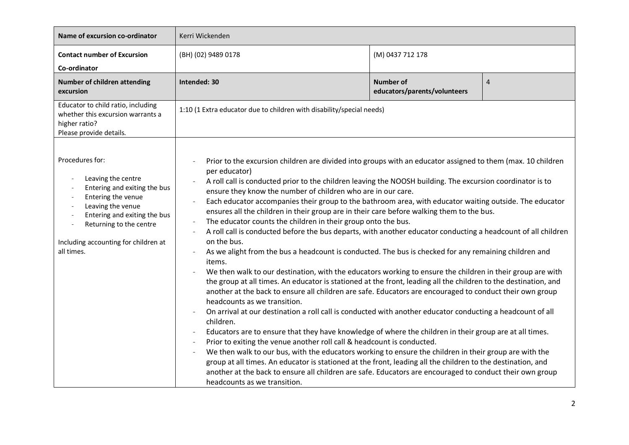| Name of excursion co-ordinator                                                                                                                                                                                                    | Kerri Wickenden                                                                                                                                                                                                                                                                                                                                                                                                                                                                                                                                                                                                                                                                                                                                                                                                                                                                                                                                                                                                                                                                                                                                                                                                                                                                                                                                                                                                                                                                                                                                                                                                                                                                                                                                                                                                                                                                                          |                  |  |  |  |
|-----------------------------------------------------------------------------------------------------------------------------------------------------------------------------------------------------------------------------------|----------------------------------------------------------------------------------------------------------------------------------------------------------------------------------------------------------------------------------------------------------------------------------------------------------------------------------------------------------------------------------------------------------------------------------------------------------------------------------------------------------------------------------------------------------------------------------------------------------------------------------------------------------------------------------------------------------------------------------------------------------------------------------------------------------------------------------------------------------------------------------------------------------------------------------------------------------------------------------------------------------------------------------------------------------------------------------------------------------------------------------------------------------------------------------------------------------------------------------------------------------------------------------------------------------------------------------------------------------------------------------------------------------------------------------------------------------------------------------------------------------------------------------------------------------------------------------------------------------------------------------------------------------------------------------------------------------------------------------------------------------------------------------------------------------------------------------------------------------------------------------------------------------|------------------|--|--|--|
| <b>Contact number of Excursion</b><br>Co-ordinator                                                                                                                                                                                | (BH) (02) 9489 0178                                                                                                                                                                                                                                                                                                                                                                                                                                                                                                                                                                                                                                                                                                                                                                                                                                                                                                                                                                                                                                                                                                                                                                                                                                                                                                                                                                                                                                                                                                                                                                                                                                                                                                                                                                                                                                                                                      | (M) 0437 712 178 |  |  |  |
| Number of children attending<br>excursion                                                                                                                                                                                         | Intended: 30<br><b>Number of</b><br>$\overline{4}$<br>educators/parents/volunteers                                                                                                                                                                                                                                                                                                                                                                                                                                                                                                                                                                                                                                                                                                                                                                                                                                                                                                                                                                                                                                                                                                                                                                                                                                                                                                                                                                                                                                                                                                                                                                                                                                                                                                                                                                                                                       |                  |  |  |  |
| Educator to child ratio, including<br>whether this excursion warrants a<br>higher ratio?<br>Please provide details.                                                                                                               | 1:10 (1 Extra educator due to children with disability/special needs)                                                                                                                                                                                                                                                                                                                                                                                                                                                                                                                                                                                                                                                                                                                                                                                                                                                                                                                                                                                                                                                                                                                                                                                                                                                                                                                                                                                                                                                                                                                                                                                                                                                                                                                                                                                                                                    |                  |  |  |  |
| Procedures for:<br>Leaving the centre<br>Entering and exiting the bus<br>Entering the venue<br>Leaving the venue<br>Entering and exiting the bus<br>Returning to the centre<br>Including accounting for children at<br>all times. | Prior to the excursion children are divided into groups with an educator assigned to them (max. 10 children<br>per educator)<br>A roll call is conducted prior to the children leaving the NOOSH building. The excursion coordinator is to<br>ensure they know the number of children who are in our care.<br>Each educator accompanies their group to the bathroom area, with educator waiting outside. The educator<br>ensures all the children in their group are in their care before walking them to the bus.<br>The educator counts the children in their group onto the bus.<br>A roll call is conducted before the bus departs, with another educator conducting a headcount of all children<br>on the bus.<br>As we alight from the bus a headcount is conducted. The bus is checked for any remaining children and<br>items.<br>We then walk to our destination, with the educators working to ensure the children in their group are with<br>the group at all times. An educator is stationed at the front, leading all the children to the destination, and<br>another at the back to ensure all children are safe. Educators are encouraged to conduct their own group<br>headcounts as we transition.<br>On arrival at our destination a roll call is conducted with another educator conducting a headcount of all<br>children.<br>Educators are to ensure that they have knowledge of where the children in their group are at all times.<br>Prior to exiting the venue another roll call & headcount is conducted.<br>We then walk to our bus, with the educators working to ensure the children in their group are with the<br>group at all times. An educator is stationed at the front, leading all the children to the destination, and<br>another at the back to ensure all children are safe. Educators are encouraged to conduct their own group<br>headcounts as we transition. |                  |  |  |  |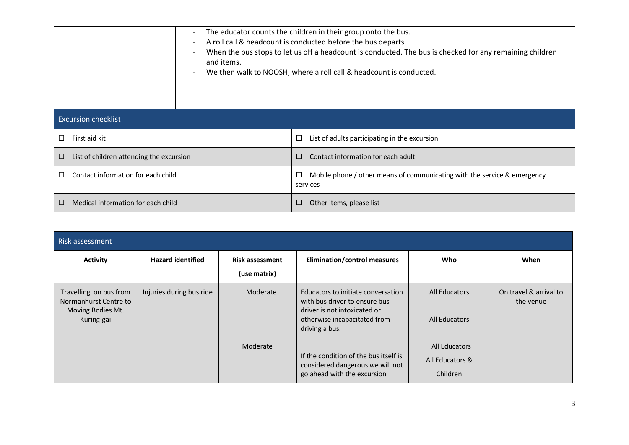|   |                                          | $\qquad \qquad -$ | The educator counts the children in their group onto the bus.<br>A roll call & headcount is conducted before the bus departs.<br>When the bus stops to let us off a headcount is conducted. The bus is checked for any remaining children<br>and items.<br>We then walk to NOOSH, where a roll call & headcount is conducted. |                                                                                                |  |  |
|---|------------------------------------------|-------------------|-------------------------------------------------------------------------------------------------------------------------------------------------------------------------------------------------------------------------------------------------------------------------------------------------------------------------------|------------------------------------------------------------------------------------------------|--|--|
|   | <b>Excursion checklist</b>               |                   |                                                                                                                                                                                                                                                                                                                               |                                                                                                |  |  |
| □ | First aid kit                            |                   |                                                                                                                                                                                                                                                                                                                               | List of adults participating in the excursion<br>□                                             |  |  |
| □ | List of children attending the excursion |                   |                                                                                                                                                                                                                                                                                                                               | Contact information for each adult<br>□                                                        |  |  |
| □ | Contact information for each child       |                   |                                                                                                                                                                                                                                                                                                                               | Mobile phone / other means of communicating with the service & emergency<br>$\Box$<br>services |  |  |
| □ | Medical information for each child       |                   |                                                                                                                                                                                                                                                                                                                               | □<br>Other items, please list                                                                  |  |  |

| Risk assessment                                                                    |                          |                                        |                                                                                                                                                       |                                              |                                     |  |  |
|------------------------------------------------------------------------------------|--------------------------|----------------------------------------|-------------------------------------------------------------------------------------------------------------------------------------------------------|----------------------------------------------|-------------------------------------|--|--|
| <b>Activity</b>                                                                    | <b>Hazard identified</b> | <b>Risk assessment</b><br>(use matrix) | Elimination/control measures                                                                                                                          | Who                                          | When                                |  |  |
| Travelling on bus from<br>Normanhurst Centre to<br>Moving Bodies Mt.<br>Kuring-gai | Injuries during bus ride | Moderate                               | Educators to initiate conversation<br>with bus driver to ensure bus<br>driver is not intoxicated or<br>otherwise incapacitated from<br>driving a bus. | All Educators<br>All Educators               | On travel & arrival to<br>the venue |  |  |
|                                                                                    |                          | Moderate                               | If the condition of the bus itself is<br>considered dangerous we will not<br>go ahead with the excursion                                              | All Educators<br>All Educators &<br>Children |                                     |  |  |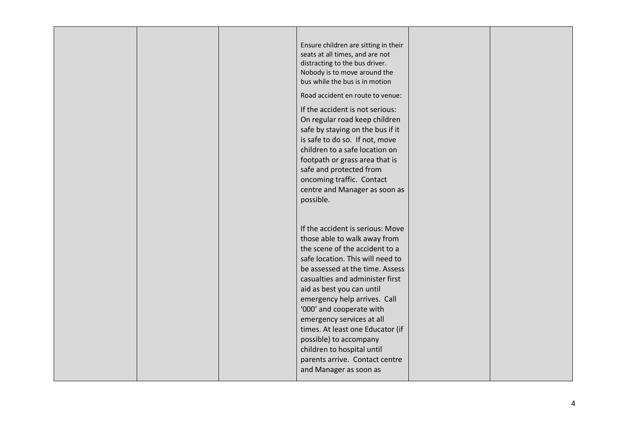| Ensure children are sitting in their<br>seats at all times, and are not<br>distracting to the bus driver.<br>Nobody is to move around the<br>bus while the bus is in motion<br>Road accident en route to venue:<br>If the accident is not serious:<br>On regular road keep children<br>safe by staying on the bus if it<br>is safe to do so. If not, move<br>children to a safe location on<br>footpath or grass area that is<br>safe and protected from<br>oncoming traffic. Contact<br>centre and Manager as soon as<br>possible. |  |
|-------------------------------------------------------------------------------------------------------------------------------------------------------------------------------------------------------------------------------------------------------------------------------------------------------------------------------------------------------------------------------------------------------------------------------------------------------------------------------------------------------------------------------------|--|
| If the accident is serious: Move<br>those able to walk away from<br>the scene of the accident to a<br>safe location. This will need to<br>be assessed at the time. Assess<br>casualties and administer first<br>aid as best you can until<br>emergency help arrives. Call<br>'000' and cooperate with<br>emergency services at all<br>times. At least one Educator (if<br>possible) to accompany<br>children to hospital until<br>parents arrive. Contact centre<br>and Manager as soon as                                          |  |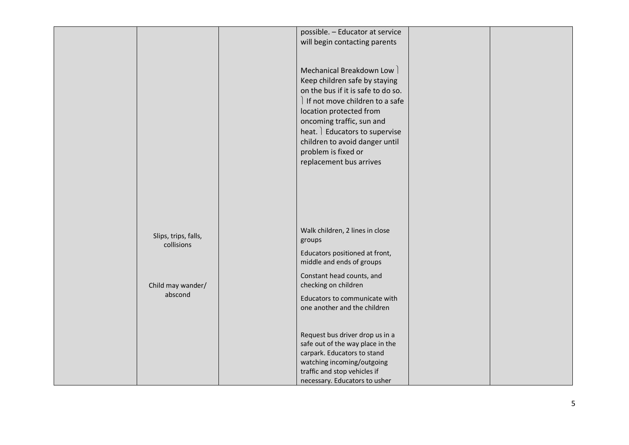|                                    | possible. - Educator at service<br>will begin contacting parents                                                                                                                                                                                                                                                |  |
|------------------------------------|-----------------------------------------------------------------------------------------------------------------------------------------------------------------------------------------------------------------------------------------------------------------------------------------------------------------|--|
|                                    | Mechanical Breakdown Low  <br>Keep children safe by staying<br>on the bus if it is safe to do so.<br>If not move children to a safe<br>location protected from<br>oncoming traffic, sun and<br>heat. Educators to supervise<br>children to avoid danger until<br>problem is fixed or<br>replacement bus arrives |  |
|                                    |                                                                                                                                                                                                                                                                                                                 |  |
| Slips, trips, falls,<br>collisions | Walk children, 2 lines in close<br>groups<br>Educators positioned at front,                                                                                                                                                                                                                                     |  |
|                                    | middle and ends of groups<br>Constant head counts, and                                                                                                                                                                                                                                                          |  |
| Child may wander/<br>abscond       | checking on children                                                                                                                                                                                                                                                                                            |  |
|                                    | Educators to communicate with<br>one another and the children                                                                                                                                                                                                                                                   |  |
|                                    | Request bus driver drop us in a                                                                                                                                                                                                                                                                                 |  |
|                                    | safe out of the way place in the<br>carpark. Educators to stand                                                                                                                                                                                                                                                 |  |
|                                    | watching incoming/outgoing<br>traffic and stop vehicles if                                                                                                                                                                                                                                                      |  |
|                                    | necessary. Educators to usher                                                                                                                                                                                                                                                                                   |  |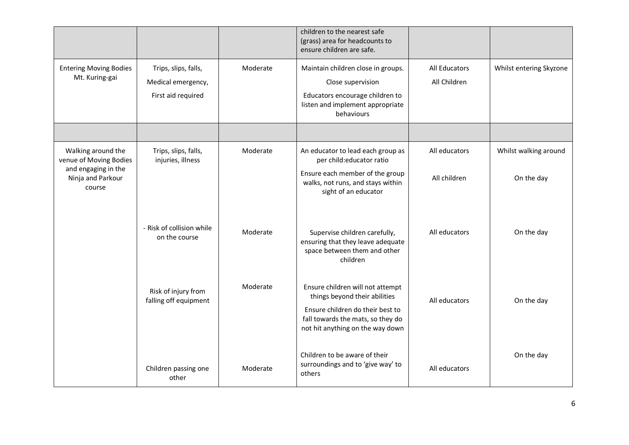|                                                    |                                                                  |          | children to the nearest safe<br>(grass) area for headcounts to<br>ensure children are safe.                                                                                    |                               |                         |
|----------------------------------------------------|------------------------------------------------------------------|----------|--------------------------------------------------------------------------------------------------------------------------------------------------------------------------------|-------------------------------|-------------------------|
| <b>Entering Moving Bodies</b><br>Mt. Kuring-gai    | Trips, slips, falls,<br>Medical emergency,<br>First aid required | Moderate | Maintain children close in groups.<br>Close supervision<br>Educators encourage children to<br>listen and implement appropriate<br>behaviours                                   | All Educators<br>All Children | Whilst entering Skyzone |
|                                                    |                                                                  |          |                                                                                                                                                                                |                               |                         |
| Walking around the<br>venue of Moving Bodies       | Trips, slips, falls,<br>injuries, illness                        | Moderate | An educator to lead each group as<br>per child:educator ratio                                                                                                                  | All educators                 | Whilst walking around   |
| and engaging in the<br>Ninja and Parkour<br>course |                                                                  |          | Ensure each member of the group<br>walks, not runs, and stays within<br>sight of an educator                                                                                   | All children                  | On the day              |
|                                                    | - Risk of collision while<br>on the course                       | Moderate | Supervise children carefully,<br>ensuring that they leave adequate<br>space between them and other<br>children                                                                 | All educators                 | On the day              |
|                                                    | Risk of injury from<br>falling off equipment                     | Moderate | Ensure children will not attempt<br>things beyond their abilities<br>Ensure children do their best to<br>fall towards the mats, so they do<br>not hit anything on the way down | All educators                 | On the day              |
|                                                    | Children passing one<br>other                                    | Moderate | Children to be aware of their<br>surroundings and to 'give way' to<br>others                                                                                                   | All educators                 | On the day              |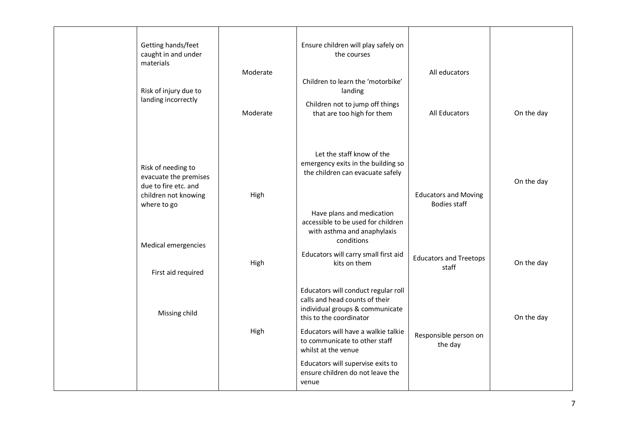| Getting hands/feet<br>Ensure children will play safely on<br>caught in and under<br>the courses<br>materials<br>Moderate<br>All educators<br>Children to learn the 'motorbike'<br>Risk of injury due to<br>landing<br>landing incorrectly<br>Children not to jump off things<br>Moderate<br>that are too high for them<br>All Educators<br>On the day<br>Let the staff know of the<br>emergency exits in the building so<br>Risk of needing to<br>the children can evacuate safely<br>evacuate the premises<br>On the day<br>due to fire etc. and<br>High<br><b>Educators and Moving</b><br>children not knowing<br><b>Bodies staff</b><br>where to go<br>Have plans and medication<br>accessible to be used for children<br>with asthma and anaphylaxis<br>conditions<br>Medical emergencies<br>Educators will carry small first aid<br><b>Educators and Treetops</b><br>High<br>On the day<br>kits on them<br>staff<br>First aid required<br>Educators will conduct regular roll<br>calls and head counts of their<br>individual groups & communicate<br>Missing child<br>On the day<br>this to the coordinator<br>High<br>Educators will have a walkie talkie<br>Responsible person on<br>to communicate to other staff<br>the day<br>whilst at the venue<br>Educators will supervise exits to<br>ensure children do not leave the<br>venue |  |  |  |
|------------------------------------------------------------------------------------------------------------------------------------------------------------------------------------------------------------------------------------------------------------------------------------------------------------------------------------------------------------------------------------------------------------------------------------------------------------------------------------------------------------------------------------------------------------------------------------------------------------------------------------------------------------------------------------------------------------------------------------------------------------------------------------------------------------------------------------------------------------------------------------------------------------------------------------------------------------------------------------------------------------------------------------------------------------------------------------------------------------------------------------------------------------------------------------------------------------------------------------------------------------------------------------------------------------------------------------------------|--|--|--|
|                                                                                                                                                                                                                                                                                                                                                                                                                                                                                                                                                                                                                                                                                                                                                                                                                                                                                                                                                                                                                                                                                                                                                                                                                                                                                                                                                |  |  |  |
|                                                                                                                                                                                                                                                                                                                                                                                                                                                                                                                                                                                                                                                                                                                                                                                                                                                                                                                                                                                                                                                                                                                                                                                                                                                                                                                                                |  |  |  |
|                                                                                                                                                                                                                                                                                                                                                                                                                                                                                                                                                                                                                                                                                                                                                                                                                                                                                                                                                                                                                                                                                                                                                                                                                                                                                                                                                |  |  |  |
|                                                                                                                                                                                                                                                                                                                                                                                                                                                                                                                                                                                                                                                                                                                                                                                                                                                                                                                                                                                                                                                                                                                                                                                                                                                                                                                                                |  |  |  |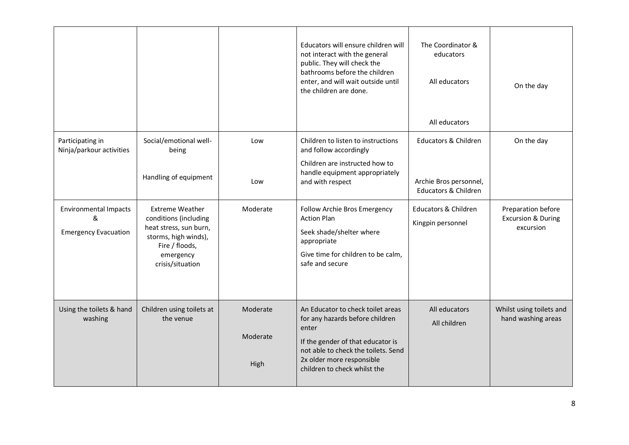|                                                                  |                                                                                                                                                      |                              | Educators will ensure children will<br>not interact with the general<br>public. They will check the<br>bathrooms before the children<br>enter, and will wait outside until<br>the children are done.                   | The Coordinator &<br>educators<br>All educators<br>All educators                             | On the day                                                       |
|------------------------------------------------------------------|------------------------------------------------------------------------------------------------------------------------------------------------------|------------------------------|------------------------------------------------------------------------------------------------------------------------------------------------------------------------------------------------------------------------|----------------------------------------------------------------------------------------------|------------------------------------------------------------------|
| Participating in<br>Ninja/parkour activities                     | Social/emotional well-<br>being<br>Handling of equipment                                                                                             | Low<br>Low                   | Children to listen to instructions<br>and follow accordingly<br>Children are instructed how to<br>handle equipment appropriately<br>and with respect                                                                   | <b>Educators &amp; Children</b><br>Archie Bros personnel,<br><b>Educators &amp; Children</b> | On the day                                                       |
| <b>Environmental Impacts</b><br>&<br><b>Emergency Evacuation</b> | <b>Extreme Weather</b><br>conditions (including<br>heat stress, sun burn,<br>storms, high winds),<br>Fire / floods,<br>emergency<br>crisis/situation | Moderate                     | Follow Archie Bros Emergency<br><b>Action Plan</b><br>Seek shade/shelter where<br>appropriate<br>Give time for children to be calm,<br>safe and secure                                                                 | <b>Educators &amp; Children</b><br>Kingpin personnel                                         | Preparation before<br><b>Excursion &amp; During</b><br>excursion |
| Using the toilets & hand<br>washing                              | Children using toilets at<br>the venue                                                                                                               | Moderate<br>Moderate<br>High | An Educator to check toilet areas<br>for any hazards before children<br>enter<br>If the gender of that educator is<br>not able to check the toilets. Send<br>2x older more responsible<br>children to check whilst the | All educators<br>All children                                                                | Whilst using toilets and<br>hand washing areas                   |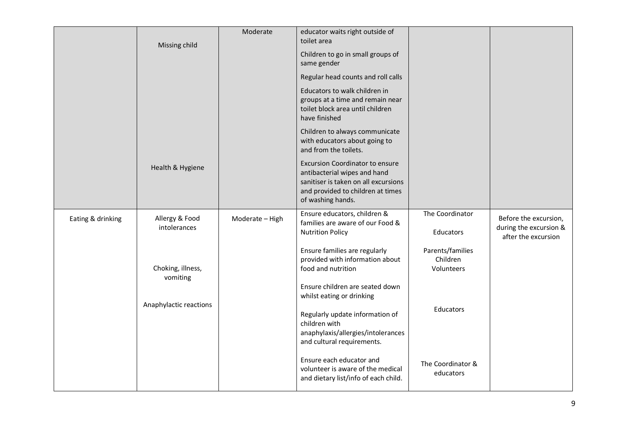|                   | Missing child                  | Moderate        | educator waits right outside of<br>toilet area                                                                                                                           |                                            |                                                                        |
|-------------------|--------------------------------|-----------------|--------------------------------------------------------------------------------------------------------------------------------------------------------------------------|--------------------------------------------|------------------------------------------------------------------------|
|                   |                                |                 | Children to go in small groups of<br>same gender                                                                                                                         |                                            |                                                                        |
|                   |                                |                 | Regular head counts and roll calls                                                                                                                                       |                                            |                                                                        |
|                   |                                |                 | Educators to walk children in<br>groups at a time and remain near<br>toilet block area until children<br>have finished                                                   |                                            |                                                                        |
|                   |                                |                 | Children to always communicate<br>with educators about going to<br>and from the toilets.                                                                                 |                                            |                                                                        |
|                   | Health & Hygiene               |                 | <b>Excursion Coordinator to ensure</b><br>antibacterial wipes and hand<br>sanitiser is taken on all excursions<br>and provided to children at times<br>of washing hands. |                                            |                                                                        |
| Eating & drinking | Allergy & Food<br>intolerances | Moderate - High | Ensure educators, children &<br>families are aware of our Food &<br><b>Nutrition Policy</b>                                                                              | The Coordinator<br>Educators               | Before the excursion,<br>during the excursion &<br>after the excursion |
|                   | Choking, illness,<br>vomiting  |                 | Ensure families are regularly<br>provided with information about<br>food and nutrition                                                                                   | Parents/families<br>Children<br>Volunteers |                                                                        |
|                   |                                |                 | Ensure children are seated down<br>whilst eating or drinking                                                                                                             |                                            |                                                                        |
|                   | Anaphylactic reactions         |                 | Regularly update information of<br>children with<br>anaphylaxis/allergies/intolerances<br>and cultural requirements.                                                     | Educators                                  |                                                                        |
|                   |                                |                 | Ensure each educator and<br>volunteer is aware of the medical<br>and dietary list/info of each child.                                                                    | The Coordinator &<br>educators             |                                                                        |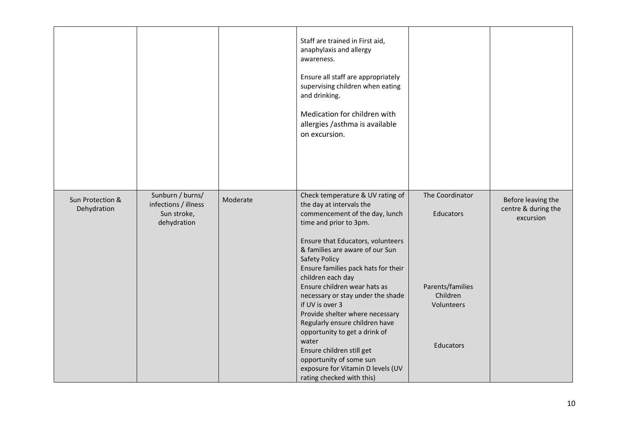|                                 |                                                                        |          | Staff are trained in First aid,<br>anaphylaxis and allergy<br>awareness.<br>Ensure all staff are appropriately<br>supervising children when eating<br>and drinking.<br>Medication for children with<br>allergies / asthma is available<br>on excursion.                                                                                                                                                                                                                                                                                                                                                               |                                                                                         |                                                        |
|---------------------------------|------------------------------------------------------------------------|----------|-----------------------------------------------------------------------------------------------------------------------------------------------------------------------------------------------------------------------------------------------------------------------------------------------------------------------------------------------------------------------------------------------------------------------------------------------------------------------------------------------------------------------------------------------------------------------------------------------------------------------|-----------------------------------------------------------------------------------------|--------------------------------------------------------|
| Sun Protection &<br>Dehydration | Sunburn / burns/<br>infections / illness<br>Sun stroke,<br>dehydration | Moderate | Check temperature & UV rating of<br>the day at intervals the<br>commencement of the day, lunch<br>time and prior to 3pm.<br>Ensure that Educators, volunteers<br>& families are aware of our Sun<br><b>Safety Policy</b><br>Ensure families pack hats for their<br>children each day<br>Ensure children wear hats as<br>necessary or stay under the shade<br>if UV is over 3<br>Provide shelter where necessary<br>Regularly ensure children have<br>opportunity to get a drink of<br>water<br>Ensure children still get<br>opportunity of some sun<br>exposure for Vitamin D levels (UV<br>rating checked with this) | The Coordinator<br>Educators<br>Parents/families<br>Children<br>Volunteers<br>Educators | Before leaving the<br>centre & during the<br>excursion |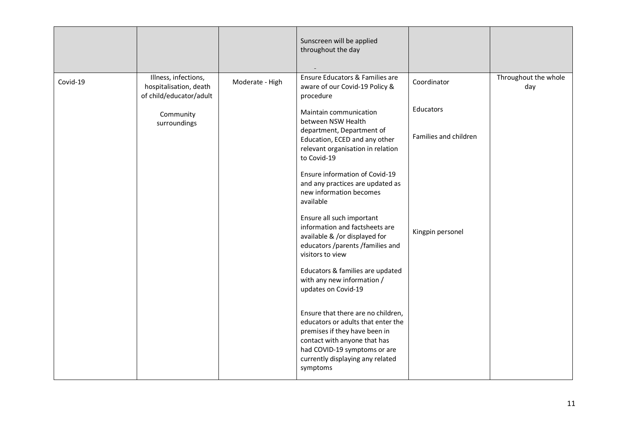|          |                                                                           |                 | Sunscreen will be applied<br>throughout the day                                                                                                                                                                                                                              |                                    |                             |
|----------|---------------------------------------------------------------------------|-----------------|------------------------------------------------------------------------------------------------------------------------------------------------------------------------------------------------------------------------------------------------------------------------------|------------------------------------|-----------------------------|
| Covid-19 | Illness, infections,<br>hospitalisation, death<br>of child/educator/adult | Moderate - High | Ensure Educators & Families are<br>aware of our Covid-19 Policy &<br>procedure                                                                                                                                                                                               | Coordinator                        | Throughout the whole<br>day |
|          | Community<br>surroundings                                                 |                 | Maintain communication<br>between NSW Health<br>department, Department of<br>Education, ECED and any other<br>relevant organisation in relation<br>to Covid-19<br>Ensure information of Covid-19<br>and any practices are updated as<br>new information becomes<br>available | Educators<br>Families and children |                             |
|          |                                                                           |                 | Ensure all such important<br>information and factsheets are<br>available & /or displayed for<br>educators /parents /families and<br>visitors to view<br>Educators & families are updated<br>with any new information /<br>updates on Covid-19                                | Kingpin personel                   |                             |
|          |                                                                           |                 | Ensure that there are no children,<br>educators or adults that enter the<br>premises if they have been in<br>contact with anyone that has<br>had COVID-19 symptoms or are<br>currently displaying any related<br>symptoms                                                    |                                    |                             |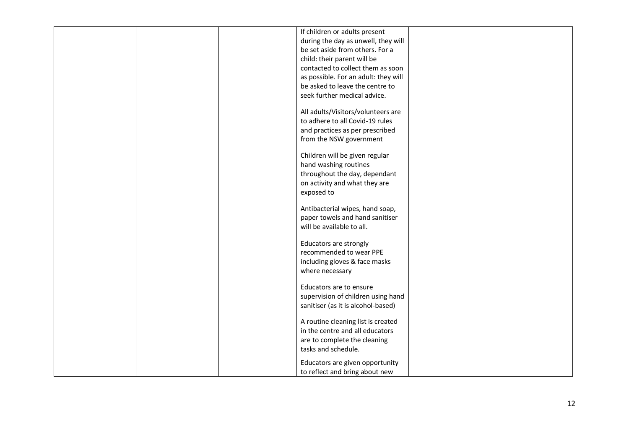|  | If children or adults present        |  |
|--|--------------------------------------|--|
|  | during the day as unwell, they will  |  |
|  | be set aside from others. For a      |  |
|  | child: their parent will be          |  |
|  | contacted to collect them as soon    |  |
|  | as possible. For an adult: they will |  |
|  | be asked to leave the centre to      |  |
|  |                                      |  |
|  | seek further medical advice.         |  |
|  | All adults/Visitors/volunteers are   |  |
|  | to adhere to all Covid-19 rules      |  |
|  |                                      |  |
|  | and practices as per prescribed      |  |
|  | from the NSW government              |  |
|  | Children will be given regular       |  |
|  | hand washing routines                |  |
|  |                                      |  |
|  | throughout the day, dependant        |  |
|  | on activity and what they are        |  |
|  | exposed to                           |  |
|  | Antibacterial wipes, hand soap,      |  |
|  | paper towels and hand sanitiser      |  |
|  | will be available to all.            |  |
|  |                                      |  |
|  | Educators are strongly               |  |
|  | recommended to wear PPE              |  |
|  | including gloves & face masks        |  |
|  | where necessary                      |  |
|  |                                      |  |
|  | Educators are to ensure              |  |
|  | supervision of children using hand   |  |
|  | sanitiser (as it is alcohol-based)   |  |
|  |                                      |  |
|  | A routine cleaning list is created   |  |
|  | in the centre and all educators      |  |
|  | are to complete the cleaning         |  |
|  | tasks and schedule.                  |  |
|  |                                      |  |
|  | Educators are given opportunity      |  |
|  | to reflect and bring about new       |  |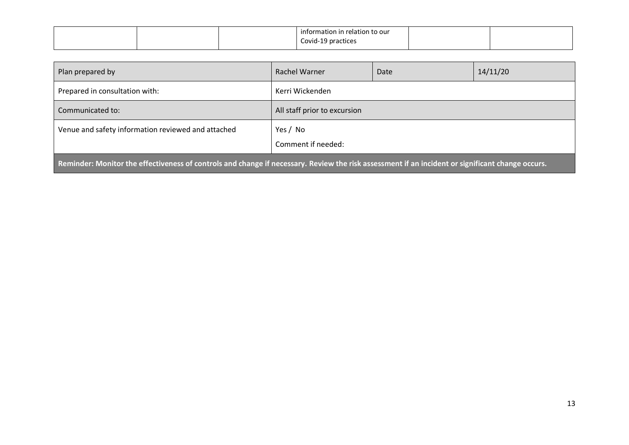|  | information in relation to our |  |
|--|--------------------------------|--|
|  | Covid-19 practices<br>.        |  |

| Plan prepared by                                                                                                                                 | Rachel Warner                  | Date | 14/11/20 |  |
|--------------------------------------------------------------------------------------------------------------------------------------------------|--------------------------------|------|----------|--|
| Prepared in consultation with:                                                                                                                   | Kerri Wickenden                |      |          |  |
| Communicated to:                                                                                                                                 | All staff prior to excursion   |      |          |  |
| Venue and safety information reviewed and attached                                                                                               | Yes / No<br>Comment if needed: |      |          |  |
| Reminder: Monitor the effectiveness of controls and change if necessary. Review the risk assessment if an incident or significant change occurs. |                                |      |          |  |